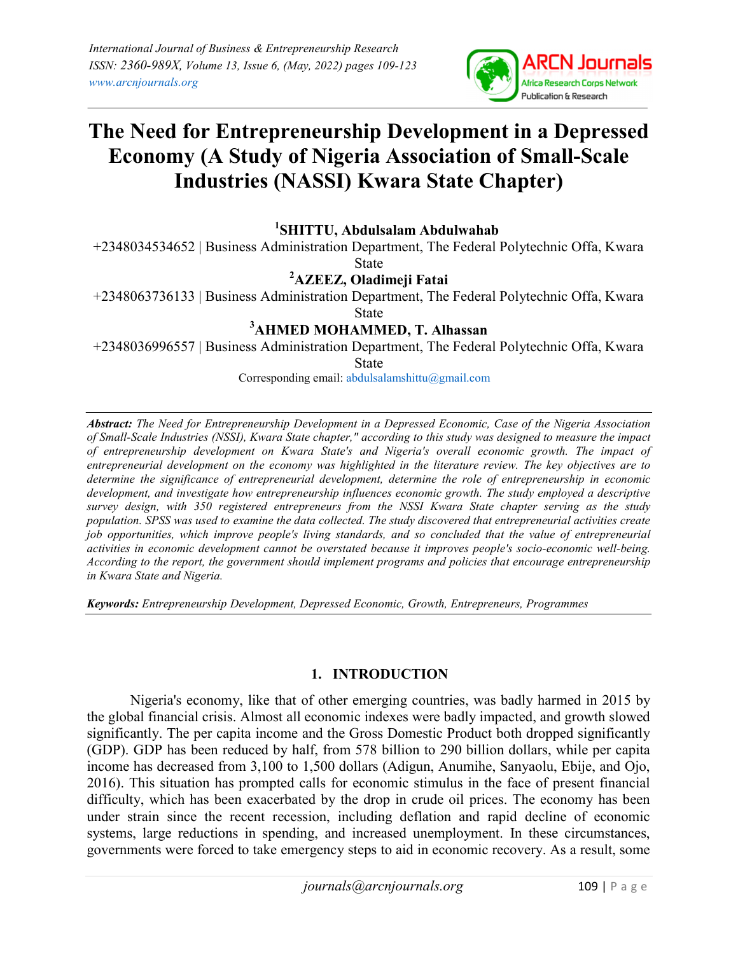

# The Need for Entrepreneurship Development in a Depressed Economy (A Study of Nigeria Association of Small-Scale Industries (NASSI) Kwara State Chapter)

<sup>1</sup>SHITTU, Abdulsalam Abdulwahab

+2348034534652 | Business Administration Department, The Federal Polytechnic Offa, Kwara State

<sup>2</sup>AZEEZ, Oladimeji Fatai

+2348063736133 | Business Administration Department, The Federal Polytechnic Offa, Kwara

State

# <sup>3</sup>AHMED MOHAMMED, T. Alhassan

+2348036996557 | Business Administration Department, The Federal Polytechnic Offa, Kwara State

Corresponding email: abdulsalamshittu@gmail.com

Abstract: The Need for Entrepreneurship Development in a Depressed Economic, Case of the Nigeria Association of Small-Scale Industries (NSSI), Kwara State chapter," according to this study was designed to measure the impact of entrepreneurship development on Kwara State's and Nigeria's overall economic growth. The impact of entrepreneurial development on the economy was highlighted in the literature review. The key objectives are to determine the significance of entrepreneurial development, determine the role of entrepreneurship in economic development, and investigate how entrepreneurship influences economic growth. The study employed a descriptive survey design, with 350 registered entrepreneurs from the NSSI Kwara State chapter serving as the study population. SPSS was used to examine the data collected. The study discovered that entrepreneurial activities create job opportunities, which improve people's living standards, and so concluded that the value of entrepreneurial activities in economic development cannot be overstated because it improves people's socio-economic well-being. According to the report, the government should implement programs and policies that encourage entrepreneurship in Kwara State and Nigeria.

Keywords: Entrepreneurship Development, Depressed Economic, Growth, Entrepreneurs, Programmes

## 1. INTRODUCTION

Nigeria's economy, like that of other emerging countries, was badly harmed in 2015 by the global financial crisis. Almost all economic indexes were badly impacted, and growth slowed significantly. The per capita income and the Gross Domestic Product both dropped significantly (GDP). GDP has been reduced by half, from 578 billion to 290 billion dollars, while per capita income has decreased from 3,100 to 1,500 dollars (Adigun, Anumihe, Sanyaolu, Ebije, and Ojo, 2016). This situation has prompted calls for economic stimulus in the face of present financial difficulty, which has been exacerbated by the drop in crude oil prices. The economy has been under strain since the recent recession, including deflation and rapid decline of economic systems, large reductions in spending, and increased unemployment. In these circumstances, governments were forced to take emergency steps to aid in economic recovery. As a result, some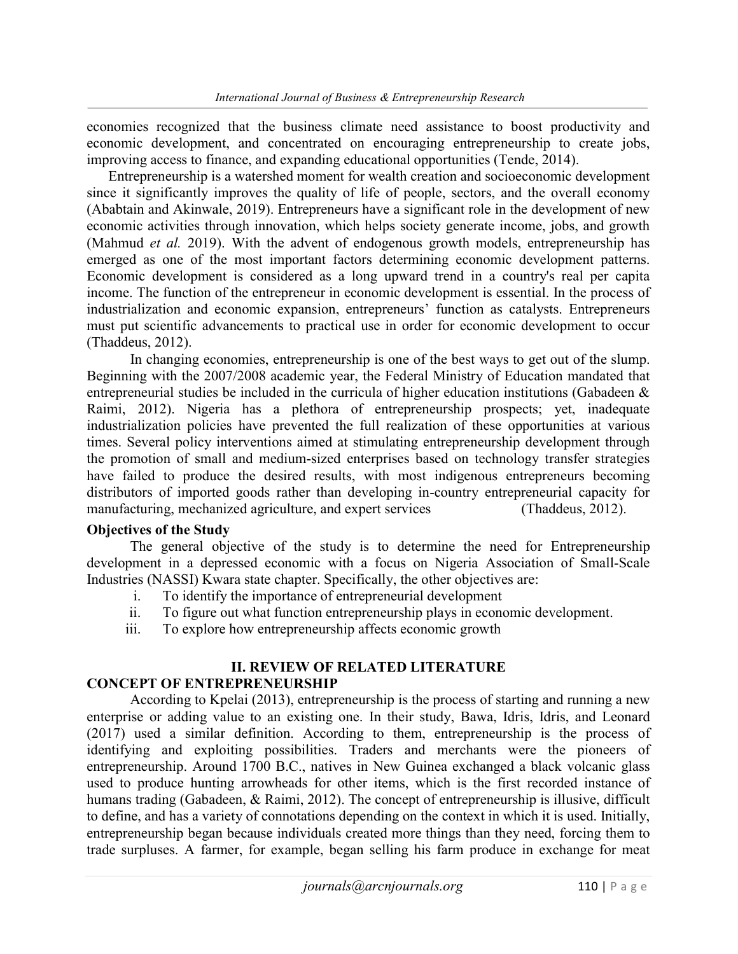economies recognized that the business climate need assistance to boost productivity and economic development, and concentrated on encouraging entrepreneurship to create jobs, improving access to finance, and expanding educational opportunities (Tende, 2014).

Entrepreneurship is a watershed moment for wealth creation and socioeconomic development since it significantly improves the quality of life of people, sectors, and the overall economy (Ababtain and Akinwale, 2019). Entrepreneurs have a significant role in the development of new economic activities through innovation, which helps society generate income, jobs, and growth (Mahmud et al. 2019). With the advent of endogenous growth models, entrepreneurship has emerged as one of the most important factors determining economic development patterns. Economic development is considered as a long upward trend in a country's real per capita income. The function of the entrepreneur in economic development is essential. In the process of industrialization and economic expansion, entrepreneurs' function as catalysts. Entrepreneurs must put scientific advancements to practical use in order for economic development to occur (Thaddeus, 2012).

In changing economies, entrepreneurship is one of the best ways to get out of the slump. Beginning with the 2007/2008 academic year, the Federal Ministry of Education mandated that entrepreneurial studies be included in the curricula of higher education institutions (Gabadeen & Raimi, 2012). Nigeria has a plethora of entrepreneurship prospects; yet, inadequate industrialization policies have prevented the full realization of these opportunities at various times. Several policy interventions aimed at stimulating entrepreneurship development through the promotion of small and medium-sized enterprises based on technology transfer strategies have failed to produce the desired results, with most indigenous entrepreneurs becoming distributors of imported goods rather than developing in-country entrepreneurial capacity for manufacturing, mechanized agriculture, and expert services (Thaddeus, 2012).

#### Objectives of the Study

The general objective of the study is to determine the need for Entrepreneurship development in a depressed economic with a focus on Nigeria Association of Small-Scale Industries (NASSI) Kwara state chapter. Specifically, the other objectives are:

- i. To identify the importance of entrepreneurial development
- ii. To figure out what function entrepreneurship plays in economic development.
- iii. To explore how entrepreneurship affects economic growth

#### II. REVIEW OF RELATED LITERATURE CONCEPT OF ENTREPRENEURSHIP

According to Kpelai (2013), entrepreneurship is the process of starting and running a new enterprise or adding value to an existing one. In their study, Bawa, Idris, Idris, and Leonard (2017) used a similar definition. According to them, entrepreneurship is the process of identifying and exploiting possibilities. Traders and merchants were the pioneers of entrepreneurship. Around 1700 B.C., natives in New Guinea exchanged a black volcanic glass used to produce hunting arrowheads for other items, which is the first recorded instance of humans trading (Gabadeen, & Raimi, 2012). The concept of entrepreneurship is illusive, difficult to define, and has a variety of connotations depending on the context in which it is used. Initially, entrepreneurship began because individuals created more things than they need, forcing them to trade surpluses. A farmer, for example, began selling his farm produce in exchange for meat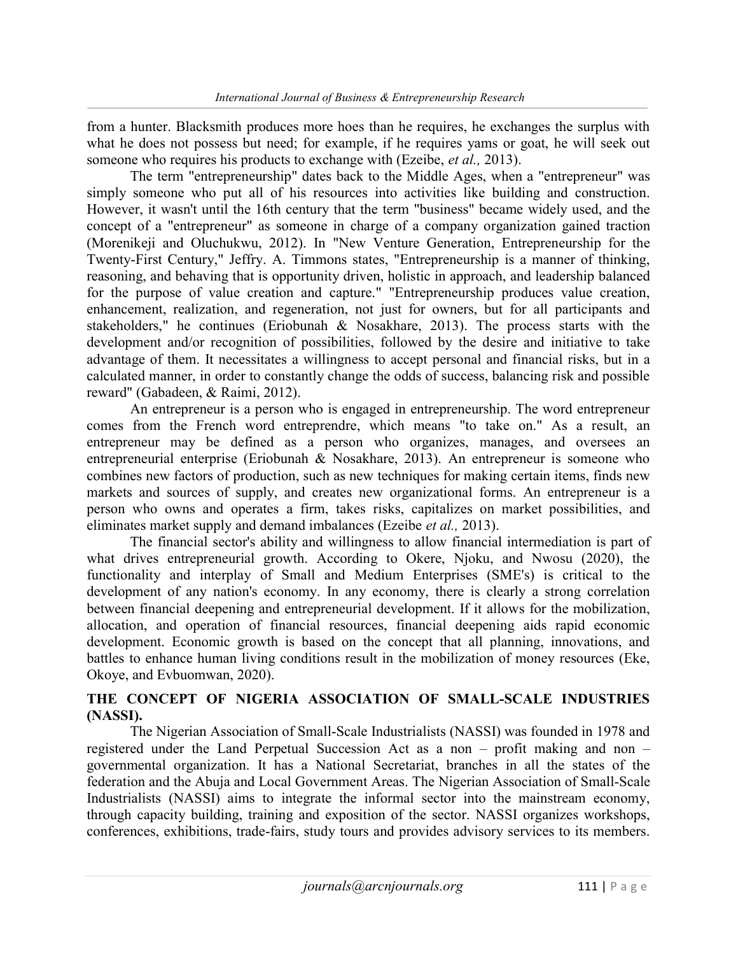from a hunter. Blacksmith produces more hoes than he requires, he exchanges the surplus with what he does not possess but need; for example, if he requires yams or goat, he will seek out someone who requires his products to exchange with (Ezeibe, *et al.*, 2013).

The term "entrepreneurship" dates back to the Middle Ages, when a "entrepreneur" was simply someone who put all of his resources into activities like building and construction. However, it wasn't until the 16th century that the term "business" became widely used, and the concept of a "entrepreneur" as someone in charge of a company organization gained traction (Morenikeji and Oluchukwu, 2012). In "New Venture Generation, Entrepreneurship for the Twenty-First Century," Jeffry. A. Timmons states, "Entrepreneurship is a manner of thinking, reasoning, and behaving that is opportunity driven, holistic in approach, and leadership balanced for the purpose of value creation and capture." "Entrepreneurship produces value creation, enhancement, realization, and regeneration, not just for owners, but for all participants and stakeholders," he continues (Eriobunah & Nosakhare, 2013). The process starts with the development and/or recognition of possibilities, followed by the desire and initiative to take advantage of them. It necessitates a willingness to accept personal and financial risks, but in a calculated manner, in order to constantly change the odds of success, balancing risk and possible reward" (Gabadeen, & Raimi, 2012).

An entrepreneur is a person who is engaged in entrepreneurship. The word entrepreneur comes from the French word entreprendre, which means "to take on." As a result, an entrepreneur may be defined as a person who organizes, manages, and oversees an entrepreneurial enterprise (Eriobunah & Nosakhare, 2013). An entrepreneur is someone who combines new factors of production, such as new techniques for making certain items, finds new markets and sources of supply, and creates new organizational forms. An entrepreneur is a person who owns and operates a firm, takes risks, capitalizes on market possibilities, and eliminates market supply and demand imbalances (Ezeibe et al., 2013).

The financial sector's ability and willingness to allow financial intermediation is part of what drives entrepreneurial growth. According to Okere, Njoku, and Nwosu (2020), the functionality and interplay of Small and Medium Enterprises (SME's) is critical to the development of any nation's economy. In any economy, there is clearly a strong correlation between financial deepening and entrepreneurial development. If it allows for the mobilization, allocation, and operation of financial resources, financial deepening aids rapid economic development. Economic growth is based on the concept that all planning, innovations, and battles to enhance human living conditions result in the mobilization of money resources (Eke, Okoye, and Evbuomwan, 2020).

## THE CONCEPT OF NIGERIA ASSOCIATION OF SMALL-SCALE INDUSTRIES (NASSI).

The Nigerian Association of Small-Scale Industrialists (NASSI) was founded in 1978 and registered under the Land Perpetual Succession Act as a non – profit making and non – governmental organization. It has a National Secretariat, branches in all the states of the federation and the Abuja and Local Government Areas. The Nigerian Association of Small-Scale Industrialists (NASSI) aims to integrate the informal sector into the mainstream economy, through capacity building, training and exposition of the sector. NASSI organizes workshops, conferences, exhibitions, trade-fairs, study tours and provides advisory services to its members.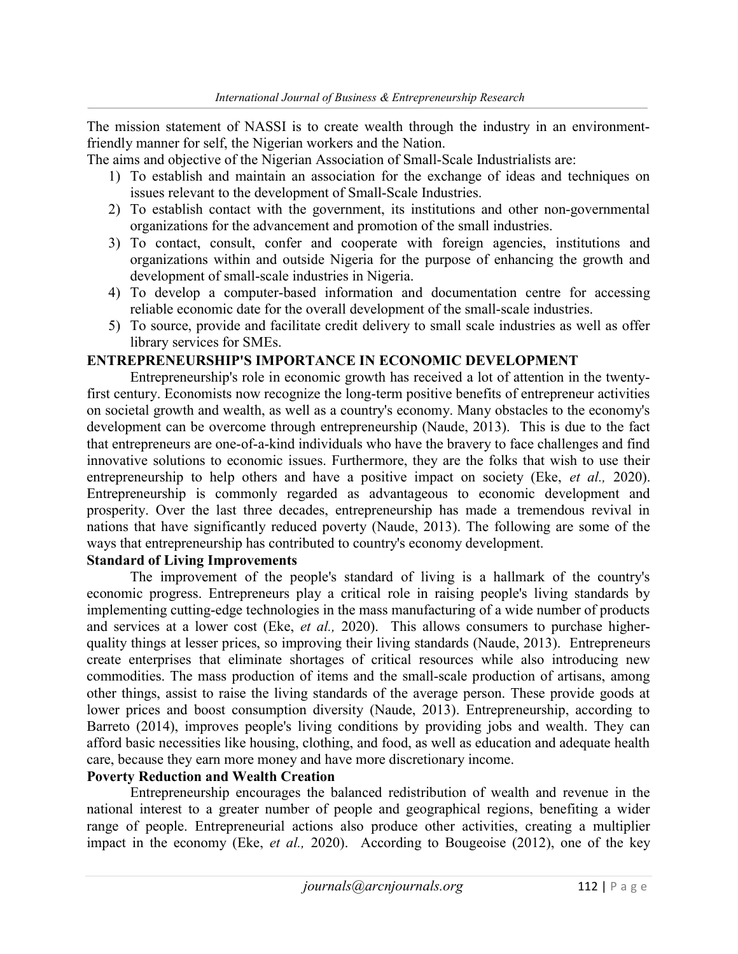The mission statement of NASSI is to create wealth through the industry in an environmentfriendly manner for self, the Nigerian workers and the Nation.

The aims and objective of the Nigerian Association of Small-Scale Industrialists are:

- 1) To establish and maintain an association for the exchange of ideas and techniques on issues relevant to the development of Small-Scale Industries.
- 2) To establish contact with the government, its institutions and other non-governmental organizations for the advancement and promotion of the small industries.
- 3) To contact, consult, confer and cooperate with foreign agencies, institutions and organizations within and outside Nigeria for the purpose of enhancing the growth and development of small-scale industries in Nigeria.
- 4) To develop a computer-based information and documentation centre for accessing reliable economic date for the overall development of the small-scale industries.
- 5) To source, provide and facilitate credit delivery to small scale industries as well as offer library services for SMEs.

#### ENTREPRENEURSHIP'S IMPORTANCE IN ECONOMIC DEVELOPMENT

Entrepreneurship's role in economic growth has received a lot of attention in the twentyfirst century. Economists now recognize the long-term positive benefits of entrepreneur activities on societal growth and wealth, as well as a country's economy. Many obstacles to the economy's development can be overcome through entrepreneurship (Naude, 2013). This is due to the fact that entrepreneurs are one-of-a-kind individuals who have the bravery to face challenges and find innovative solutions to economic issues. Furthermore, they are the folks that wish to use their entrepreneurship to help others and have a positive impact on society (Eke, *et al.*, 2020). Entrepreneurship is commonly regarded as advantageous to economic development and prosperity. Over the last three decades, entrepreneurship has made a tremendous revival in nations that have significantly reduced poverty (Naude, 2013). The following are some of the ways that entrepreneurship has contributed to country's economy development.

#### Standard of Living Improvements

The improvement of the people's standard of living is a hallmark of the country's economic progress. Entrepreneurs play a critical role in raising people's living standards by implementing cutting-edge technologies in the mass manufacturing of a wide number of products and services at a lower cost (Eke, *et al.*, 2020). This allows consumers to purchase higherquality things at lesser prices, so improving their living standards (Naude, 2013). Entrepreneurs create enterprises that eliminate shortages of critical resources while also introducing new commodities. The mass production of items and the small-scale production of artisans, among other things, assist to raise the living standards of the average person. These provide goods at lower prices and boost consumption diversity (Naude, 2013). Entrepreneurship, according to Barreto (2014), improves people's living conditions by providing jobs and wealth. They can afford basic necessities like housing, clothing, and food, as well as education and adequate health care, because they earn more money and have more discretionary income.

#### Poverty Reduction and Wealth Creation

Entrepreneurship encourages the balanced redistribution of wealth and revenue in the national interest to a greater number of people and geographical regions, benefiting a wider range of people. Entrepreneurial actions also produce other activities, creating a multiplier impact in the economy (Eke, et al., 2020). According to Bougeoise (2012), one of the key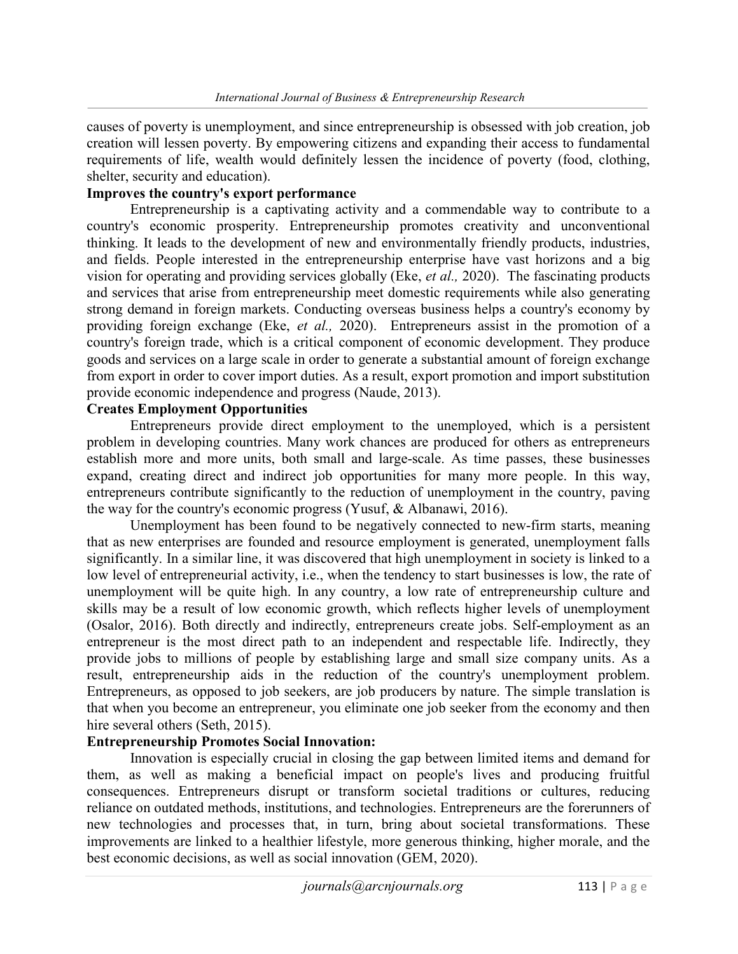causes of poverty is unemployment, and since entrepreneurship is obsessed with job creation, job creation will lessen poverty. By empowering citizens and expanding their access to fundamental requirements of life, wealth would definitely lessen the incidence of poverty (food, clothing, shelter, security and education).

## Improves the country's export performance

Entrepreneurship is a captivating activity and a commendable way to contribute to a country's economic prosperity. Entrepreneurship promotes creativity and unconventional thinking. It leads to the development of new and environmentally friendly products, industries, and fields. People interested in the entrepreneurship enterprise have vast horizons and a big vision for operating and providing services globally (Eke, et al., 2020). The fascinating products and services that arise from entrepreneurship meet domestic requirements while also generating strong demand in foreign markets. Conducting overseas business helps a country's economy by providing foreign exchange (Eke, et al., 2020). Entrepreneurs assist in the promotion of a country's foreign trade, which is a critical component of economic development. They produce goods and services on a large scale in order to generate a substantial amount of foreign exchange from export in order to cover import duties. As a result, export promotion and import substitution provide economic independence and progress (Naude, 2013).

## Creates Employment Opportunities

Entrepreneurs provide direct employment to the unemployed, which is a persistent problem in developing countries. Many work chances are produced for others as entrepreneurs establish more and more units, both small and large-scale. As time passes, these businesses expand, creating direct and indirect job opportunities for many more people. In this way, entrepreneurs contribute significantly to the reduction of unemployment in the country, paving the way for the country's economic progress (Yusuf, & Albanawi, 2016).

Unemployment has been found to be negatively connected to new-firm starts, meaning that as new enterprises are founded and resource employment is generated, unemployment falls significantly. In a similar line, it was discovered that high unemployment in society is linked to a low level of entrepreneurial activity, i.e., when the tendency to start businesses is low, the rate of unemployment will be quite high. In any country, a low rate of entrepreneurship culture and skills may be a result of low economic growth, which reflects higher levels of unemployment (Osalor, 2016). Both directly and indirectly, entrepreneurs create jobs. Self-employment as an entrepreneur is the most direct path to an independent and respectable life. Indirectly, they provide jobs to millions of people by establishing large and small size company units. As a result, entrepreneurship aids in the reduction of the country's unemployment problem. Entrepreneurs, as opposed to job seekers, are job producers by nature. The simple translation is that when you become an entrepreneur, you eliminate one job seeker from the economy and then hire several others (Seth, 2015).

## Entrepreneurship Promotes Social Innovation:

Innovation is especially crucial in closing the gap between limited items and demand for them, as well as making a beneficial impact on people's lives and producing fruitful consequences. Entrepreneurs disrupt or transform societal traditions or cultures, reducing reliance on outdated methods, institutions, and technologies. Entrepreneurs are the forerunners of new technologies and processes that, in turn, bring about societal transformations. These improvements are linked to a healthier lifestyle, more generous thinking, higher morale, and the best economic decisions, as well as social innovation (GEM, 2020).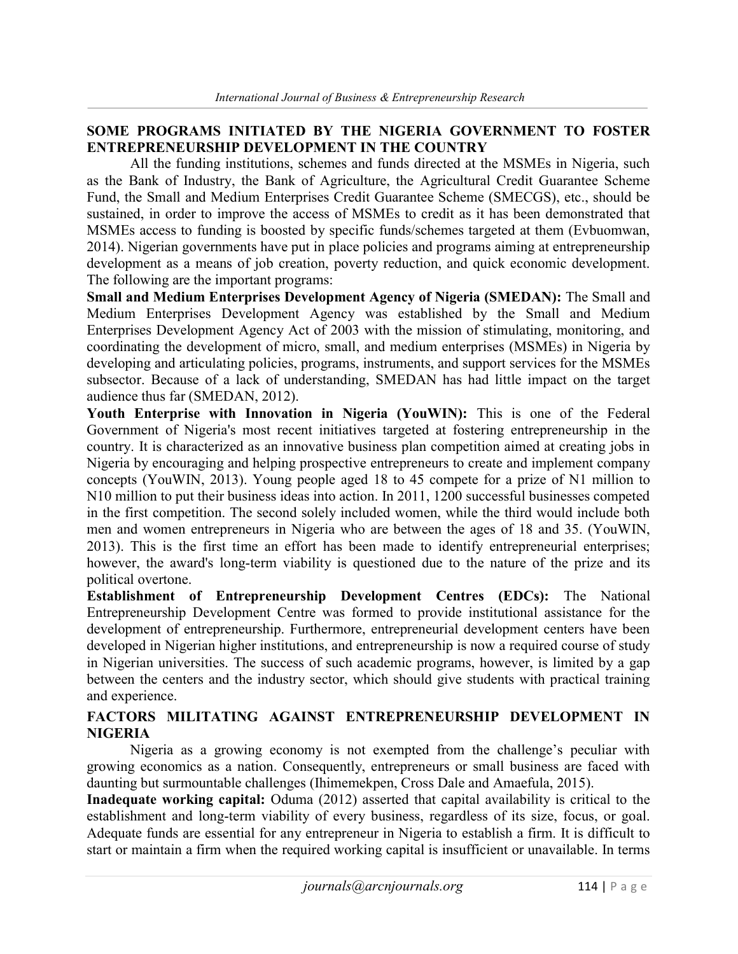## SOME PROGRAMS INITIATED BY THE NIGERIA GOVERNMENT TO FOSTER ENTREPRENEURSHIP DEVELOPMENT IN THE COUNTRY

All the funding institutions, schemes and funds directed at the MSMEs in Nigeria, such as the Bank of Industry, the Bank of Agriculture, the Agricultural Credit Guarantee Scheme Fund, the Small and Medium Enterprises Credit Guarantee Scheme (SMECGS), etc., should be sustained, in order to improve the access of MSMEs to credit as it has been demonstrated that MSMEs access to funding is boosted by specific funds/schemes targeted at them (Evbuomwan, 2014). Nigerian governments have put in place policies and programs aiming at entrepreneurship development as a means of job creation, poverty reduction, and quick economic development. The following are the important programs:

Small and Medium Enterprises Development Agency of Nigeria (SMEDAN): The Small and Medium Enterprises Development Agency was established by the Small and Medium Enterprises Development Agency Act of 2003 with the mission of stimulating, monitoring, and coordinating the development of micro, small, and medium enterprises (MSMEs) in Nigeria by developing and articulating policies, programs, instruments, and support services for the MSMEs subsector. Because of a lack of understanding, SMEDAN has had little impact on the target audience thus far (SMEDAN, 2012).

Youth Enterprise with Innovation in Nigeria (YouWIN): This is one of the Federal Government of Nigeria's most recent initiatives targeted at fostering entrepreneurship in the country. It is characterized as an innovative business plan competition aimed at creating jobs in Nigeria by encouraging and helping prospective entrepreneurs to create and implement company concepts (YouWIN, 2013). Young people aged 18 to 45 compete for a prize of N1 million to N10 million to put their business ideas into action. In 2011, 1200 successful businesses competed in the first competition. The second solely included women, while the third would include both men and women entrepreneurs in Nigeria who are between the ages of 18 and 35. (YouWIN, 2013). This is the first time an effort has been made to identify entrepreneurial enterprises; however, the award's long-term viability is questioned due to the nature of the prize and its political overtone.

Establishment of Entrepreneurship Development Centres (EDCs): The National Entrepreneurship Development Centre was formed to provide institutional assistance for the development of entrepreneurship. Furthermore, entrepreneurial development centers have been developed in Nigerian higher institutions, and entrepreneurship is now a required course of study in Nigerian universities. The success of such academic programs, however, is limited by a gap between the centers and the industry sector, which should give students with practical training and experience.

## FACTORS MILITATING AGAINST ENTREPRENEURSHIP DEVELOPMENT IN NIGERIA

Nigeria as a growing economy is not exempted from the challenge's peculiar with growing economics as a nation. Consequently, entrepreneurs or small business are faced with daunting but surmountable challenges (Ihimemekpen, Cross Dale and Amaefula, 2015).

Inadequate working capital: Oduma (2012) asserted that capital availability is critical to the establishment and long-term viability of every business, regardless of its size, focus, or goal. Adequate funds are essential for any entrepreneur in Nigeria to establish a firm. It is difficult to start or maintain a firm when the required working capital is insufficient or unavailable. In terms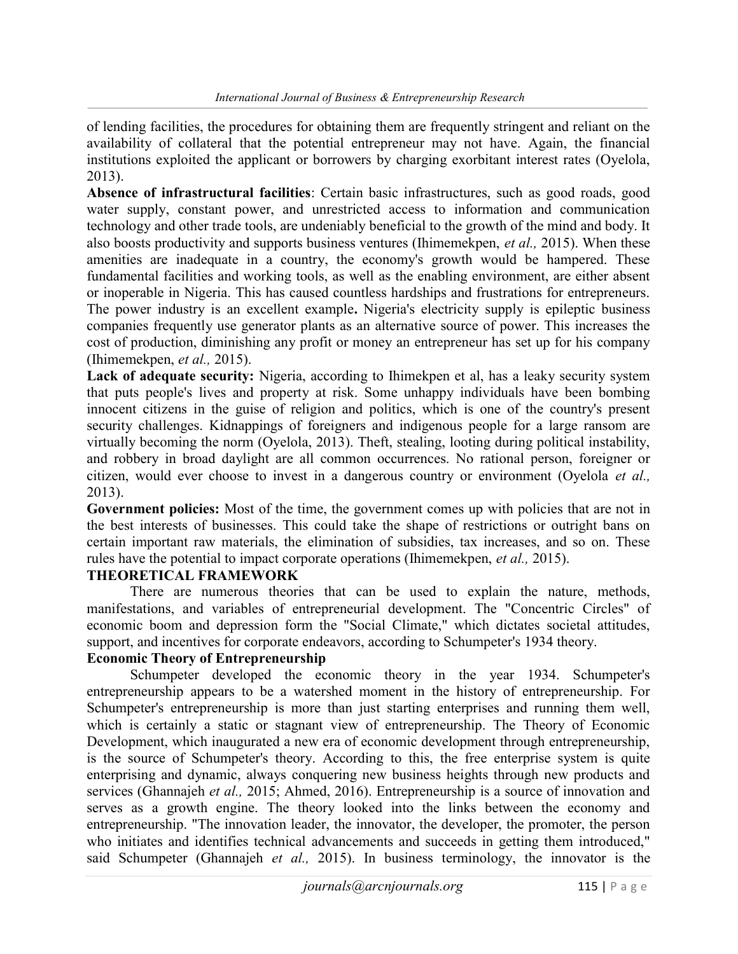of lending facilities, the procedures for obtaining them are frequently stringent and reliant on the availability of collateral that the potential entrepreneur may not have. Again, the financial institutions exploited the applicant or borrowers by charging exorbitant interest rates (Oyelola, 2013).

Absence of infrastructural facilities: Certain basic infrastructures, such as good roads, good water supply, constant power, and unrestricted access to information and communication technology and other trade tools, are undeniably beneficial to the growth of the mind and body. It also boosts productivity and supports business ventures (Ihimemekpen, et al., 2015). When these amenities are inadequate in a country, the economy's growth would be hampered. These fundamental facilities and working tools, as well as the enabling environment, are either absent or inoperable in Nigeria. This has caused countless hardships and frustrations for entrepreneurs. The power industry is an excellent example. Nigeria's electricity supply is epileptic business companies frequently use generator plants as an alternative source of power. This increases the cost of production, diminishing any profit or money an entrepreneur has set up for his company (Ihimemekpen, et al., 2015).

Lack of adequate security: Nigeria, according to Ihimekpen et al, has a leaky security system that puts people's lives and property at risk. Some unhappy individuals have been bombing innocent citizens in the guise of religion and politics, which is one of the country's present security challenges. Kidnappings of foreigners and indigenous people for a large ransom are virtually becoming the norm (Oyelola, 2013). Theft, stealing, looting during political instability, and robbery in broad daylight are all common occurrences. No rational person, foreigner or citizen, would ever choose to invest in a dangerous country or environment (Oyelola et al., 2013).

Government policies: Most of the time, the government comes up with policies that are not in the best interests of businesses. This could take the shape of restrictions or outright bans on certain important raw materials, the elimination of subsidies, tax increases, and so on. These rules have the potential to impact corporate operations (Ihimemekpen, *et al.*, 2015).

## THEORETICAL FRAMEWORK

There are numerous theories that can be used to explain the nature, methods, manifestations, and variables of entrepreneurial development. The "Concentric Circles" of economic boom and depression form the "Social Climate," which dictates societal attitudes, support, and incentives for corporate endeavors, according to Schumpeter's 1934 theory.

### Economic Theory of Entrepreneurship

Schumpeter developed the economic theory in the year 1934. Schumpeter's entrepreneurship appears to be a watershed moment in the history of entrepreneurship. For Schumpeter's entrepreneurship is more than just starting enterprises and running them well, which is certainly a static or stagnant view of entrepreneurship. The Theory of Economic Development, which inaugurated a new era of economic development through entrepreneurship, is the source of Schumpeter's theory. According to this, the free enterprise system is quite enterprising and dynamic, always conquering new business heights through new products and services (Ghannajeh et al., 2015; Ahmed, 2016). Entrepreneurship is a source of innovation and serves as a growth engine. The theory looked into the links between the economy and entrepreneurship. "The innovation leader, the innovator, the developer, the promoter, the person who initiates and identifies technical advancements and succeeds in getting them introduced," said Schumpeter (Ghannajeh et al., 2015). In business terminology, the innovator is the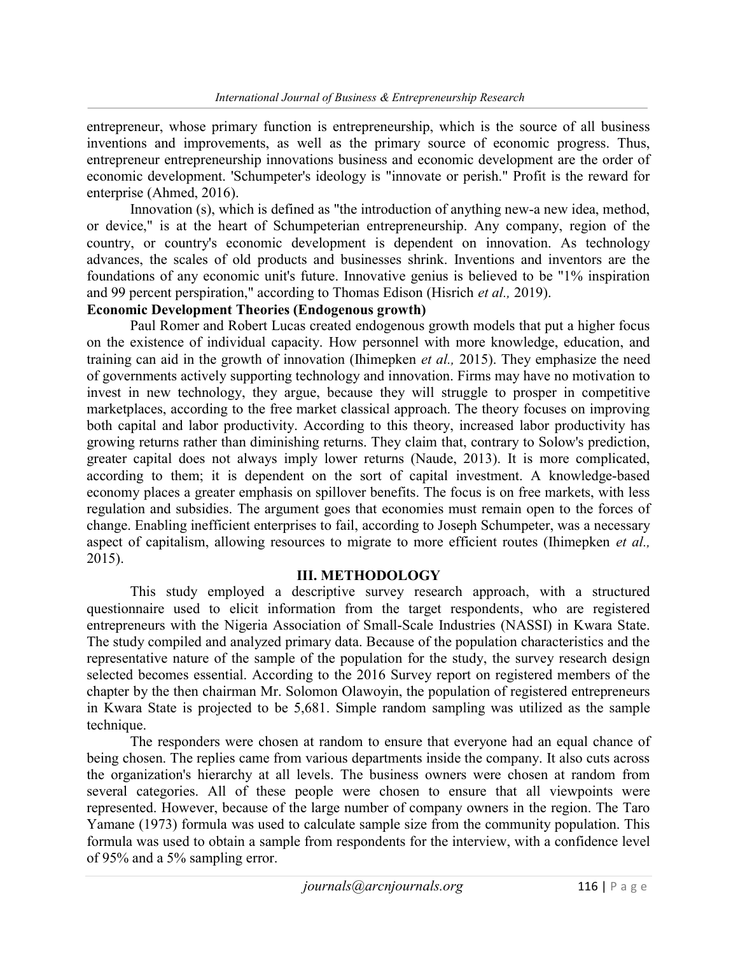entrepreneur, whose primary function is entrepreneurship, which is the source of all business inventions and improvements, as well as the primary source of economic progress. Thus, entrepreneur entrepreneurship innovations business and economic development are the order of economic development. 'Schumpeter's ideology is "innovate or perish." Profit is the reward for enterprise (Ahmed, 2016).

Innovation (s), which is defined as "the introduction of anything new-a new idea, method, or device," is at the heart of Schumpeterian entrepreneurship. Any company, region of the country, or country's economic development is dependent on innovation. As technology advances, the scales of old products and businesses shrink. Inventions and inventors are the foundations of any economic unit's future. Innovative genius is believed to be "1% inspiration and 99 percent perspiration," according to Thomas Edison (Hisrich et al., 2019).

#### Economic Development Theories (Endogenous growth)

Paul Romer and Robert Lucas created endogenous growth models that put a higher focus on the existence of individual capacity. How personnel with more knowledge, education, and training can aid in the growth of innovation (Ihimepken *et al.*, 2015). They emphasize the need of governments actively supporting technology and innovation. Firms may have no motivation to invest in new technology, they argue, because they will struggle to prosper in competitive marketplaces, according to the free market classical approach. The theory focuses on improving both capital and labor productivity. According to this theory, increased labor productivity has growing returns rather than diminishing returns. They claim that, contrary to Solow's prediction, greater capital does not always imply lower returns (Naude, 2013). It is more complicated, according to them; it is dependent on the sort of capital investment. A knowledge-based economy places a greater emphasis on spillover benefits. The focus is on free markets, with less regulation and subsidies. The argument goes that economies must remain open to the forces of change. Enabling inefficient enterprises to fail, according to Joseph Schumpeter, was a necessary aspect of capitalism, allowing resources to migrate to more efficient routes (Ihimepken et al., 2015).

#### III. METHODOLOGY

This study employed a descriptive survey research approach, with a structured questionnaire used to elicit information from the target respondents, who are registered entrepreneurs with the Nigeria Association of Small-Scale Industries (NASSI) in Kwara State. The study compiled and analyzed primary data. Because of the population characteristics and the representative nature of the sample of the population for the study, the survey research design selected becomes essential. According to the 2016 Survey report on registered members of the chapter by the then chairman Mr. Solomon Olawoyin, the population of registered entrepreneurs in Kwara State is projected to be 5,681. Simple random sampling was utilized as the sample technique.

The responders were chosen at random to ensure that everyone had an equal chance of being chosen. The replies came from various departments inside the company. It also cuts across the organization's hierarchy at all levels. The business owners were chosen at random from several categories. All of these people were chosen to ensure that all viewpoints were represented. However, because of the large number of company owners in the region. The Taro Yamane (1973) formula was used to calculate sample size from the community population. This formula was used to obtain a sample from respondents for the interview, with a confidence level of 95% and a 5% sampling error.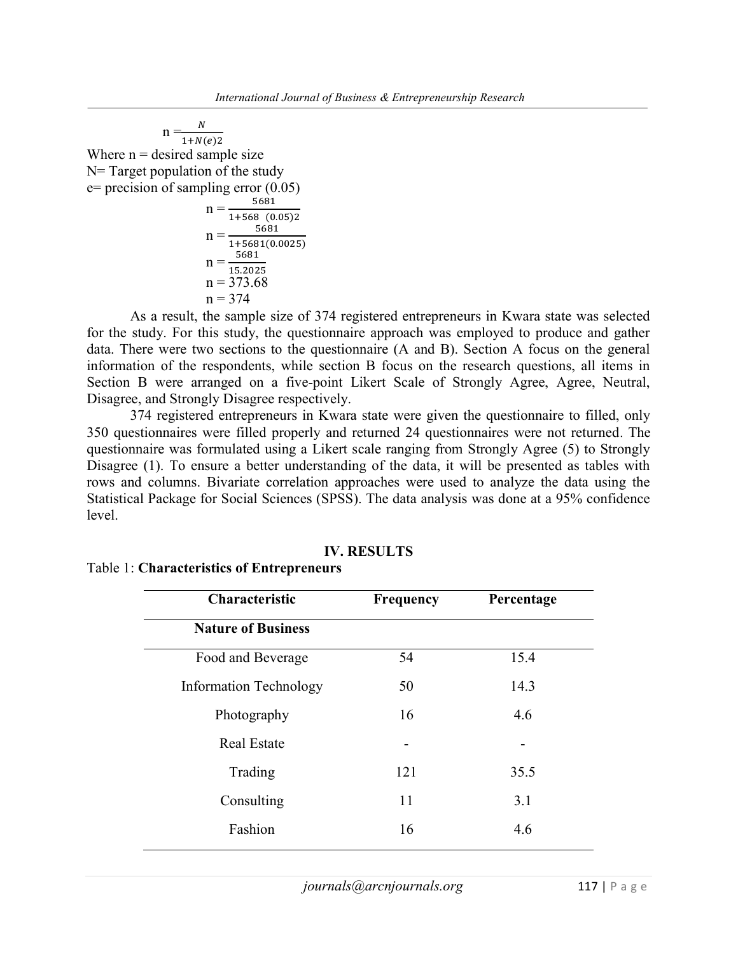$$
n = \frac{N}{1 + N(e)2}
$$
  
Where n = desired sample size  
N= Target population of the study  
e= precision of sampling error (0.05)  

$$
n = \frac{5681}{1 + 568 (0.05)2}
$$

$$
n = \frac{1+568 (0.05)2}{1+5681}
$$
  
\n
$$
n = \frac{5681}{1+5681(0.0025)}
$$
  
\n
$$
n = \frac{5681}{15.2025}
$$
  
\n
$$
n = 373.68
$$
  
\n
$$
n = 374
$$

As a result, the sample size of 374 registered entrepreneurs in Kwara state was selected for the study. For this study, the questionnaire approach was employed to produce and gather data. There were two sections to the questionnaire (A and B). Section A focus on the general information of the respondents, while section B focus on the research questions, all items in Section B were arranged on a five-point Likert Scale of Strongly Agree, Agree, Neutral, Disagree, and Strongly Disagree respectively.

374 registered entrepreneurs in Kwara state were given the questionnaire to filled, only 350 questionnaires were filled properly and returned 24 questionnaires were not returned. The questionnaire was formulated using a Likert scale ranging from Strongly Agree (5) to Strongly Disagree (1). To ensure a better understanding of the data, it will be presented as tables with rows and columns. Bivariate correlation approaches were used to analyze the data using the Statistical Package for Social Sciences (SPSS). The data analysis was done at a 95% confidence level.

| Characteristic                | <b>Frequency</b> | Percentage |
|-------------------------------|------------------|------------|
| <b>Nature of Business</b>     |                  |            |
| Food and Beverage             | 54               | 15.4       |
| <b>Information Technology</b> | 50               | 14.3       |
| Photography                   | 16               | 4.6        |
| <b>Real Estate</b>            |                  |            |
| Trading                       | 121              | 35.5       |
| Consulting                    | 11               | 3.1        |
| Fashion                       | 16               | 4.6        |
|                               |                  |            |

#### IV. RESULTS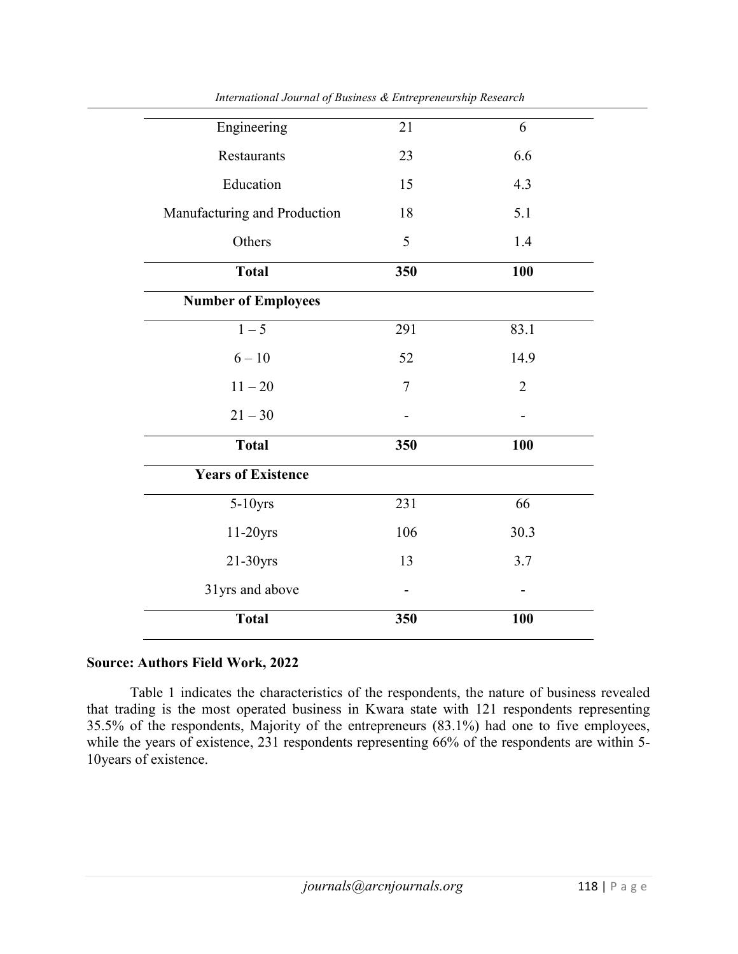| Engineering                  | 21  | 6              |
|------------------------------|-----|----------------|
| Restaurants                  | 23  | 6.6            |
| Education                    | 15  | 4.3            |
| Manufacturing and Production | 18  | 5.1            |
| Others                       | 5   | 1.4            |
| <b>Total</b>                 | 350 | 100            |
| <b>Number of Employees</b>   |     |                |
| $1 - 5$                      | 291 | 83.1           |
| $6 - 10$                     | 52  | 14.9           |
| $11 - 20$                    | 7   | $\overline{2}$ |
| $21 - 30$                    |     |                |
| <b>Total</b>                 | 350 | 100            |
| <b>Years of Existence</b>    |     |                |
| $5-10$ yrs                   | 231 | 66             |
| 11-20yrs                     | 106 | 30.3           |
| $21-30yrs$                   | 13  | 3.7            |
| 31yrs and above              |     |                |
| <b>Total</b>                 | 350 | 100            |

International Journal of Business & Entrepreneurship Research

#### Source: Authors Field Work, 2022

Table 1 indicates the characteristics of the respondents, the nature of business revealed that trading is the most operated business in Kwara state with 121 respondents representing 35.5% of the respondents, Majority of the entrepreneurs (83.1%) had one to five employees, while the years of existence, 231 respondents representing 66% of the respondents are within 5-10years of existence.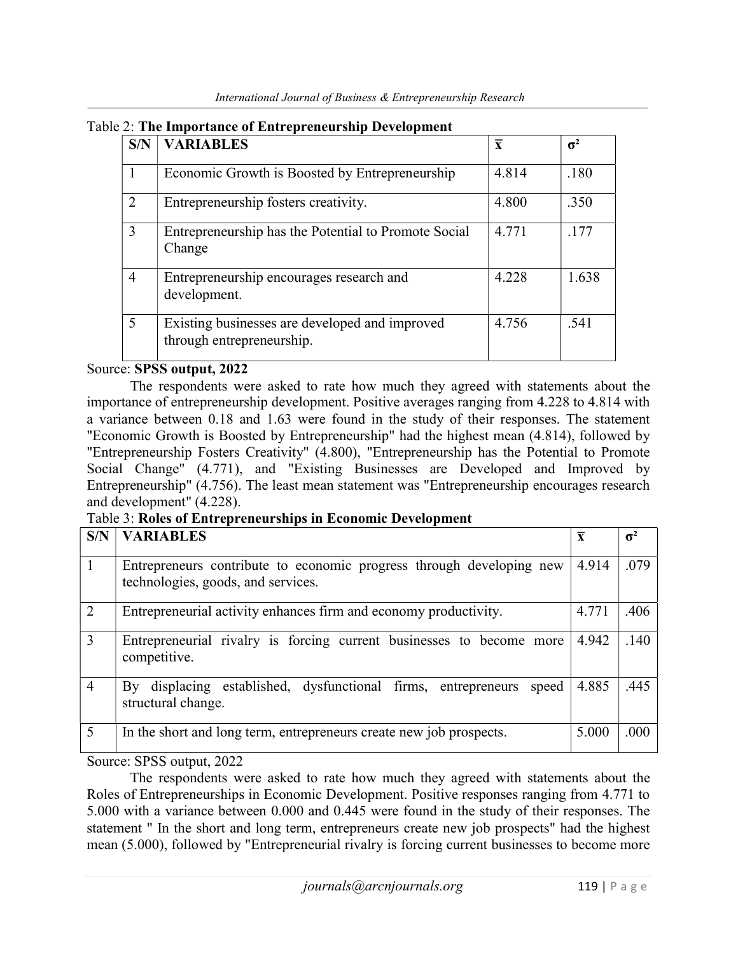| S/N            | <b>VARIABLES</b>                                                            | $\overline{\mathbf{x}}$ | $\sigma^2$ |
|----------------|-----------------------------------------------------------------------------|-------------------------|------------|
|                | Economic Growth is Boosted by Entrepreneurship                              | 4.814                   | .180       |
| 2              | Entrepreneurship fosters creativity.                                        | 4.800                   | .350       |
| 3              | Entrepreneurship has the Potential to Promote Social<br>Change              | 4.771                   | .177       |
| $\overline{4}$ | Entrepreneurship encourages research and<br>development.                    | 4.228                   | 1.638      |
| 5              | Existing businesses are developed and improved<br>through entrepreneurship. | 4.756                   | .541       |

## Source: SPSS output, 2022

The respondents were asked to rate how much they agreed with statements about the importance of entrepreneurship development. Positive averages ranging from 4.228 to 4.814 with a variance between 0.18 and 1.63 were found in the study of their responses. The statement "Economic Growth is Boosted by Entrepreneurship" had the highest mean (4.814), followed by "Entrepreneurship Fosters Creativity" (4.800), "Entrepreneurship has the Potential to Promote Social Change" (4.771), and "Existing Businesses are Developed and Improved by Entrepreneurship" (4.756). The least mean statement was "Entrepreneurship encourages research and development" (4.228).

Table 3: Roles of Entrepreneurships in Economic Development

| S/N            | <b>VARIABLES</b>                                                                                           | $\overline{\mathbf{x}}$ | $\sigma^2$ |
|----------------|------------------------------------------------------------------------------------------------------------|-------------------------|------------|
| $\mathbf{1}$   | Entrepreneurs contribute to economic progress through developing new<br>technologies, goods, and services. | 4.914                   | .079       |
| $\overline{2}$ | Entrepreneurial activity enhances firm and economy productivity.                                           | 4.771                   | .406       |
| 3              | Entrepreneurial rivalry is forcing current businesses to become more<br>competitive.                       | 4.942                   | .140       |
| $\overline{4}$ | displacing established, dysfunctional firms, entrepreneurs<br>speed<br>$\rm\,By$<br>structural change.     | 4.885                   | .445       |
| 5              | In the short and long term, entrepreneurs create new job prospects.                                        | 5.000                   | .000       |

Source: SPSS output, 2022

The respondents were asked to rate how much they agreed with statements about the Roles of Entrepreneurships in Economic Development. Positive responses ranging from 4.771 to 5.000 with a variance between 0.000 and 0.445 were found in the study of their responses. The statement " In the short and long term, entrepreneurs create new job prospects" had the highest mean (5.000), followed by "Entrepreneurial rivalry is forcing current businesses to become more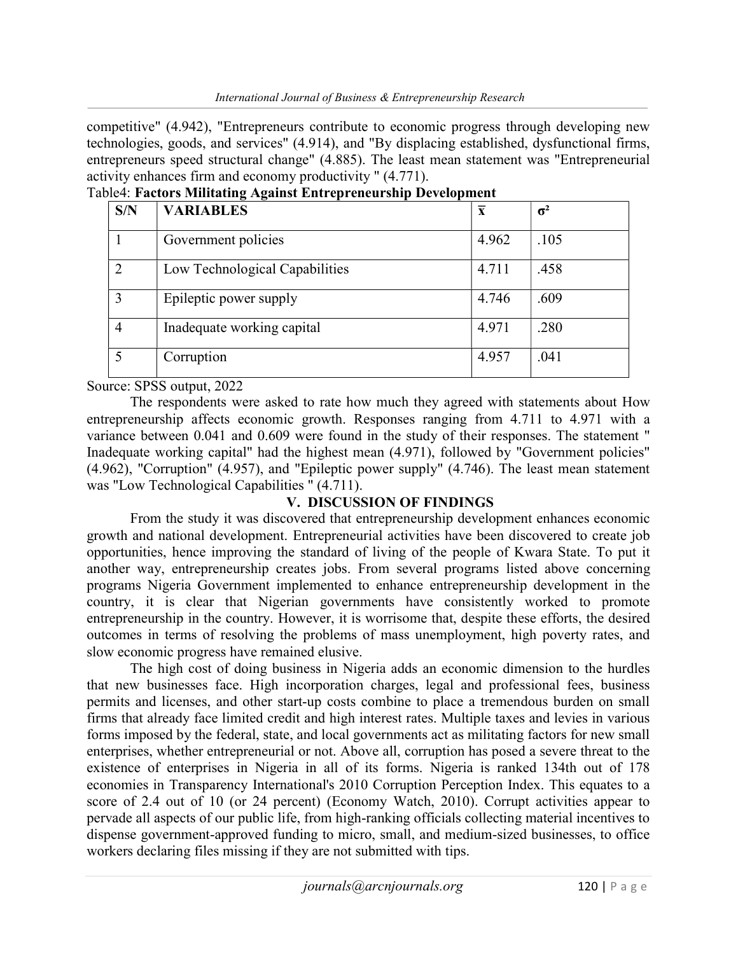competitive" (4.942), "Entrepreneurs contribute to economic progress through developing new technologies, goods, and services" (4.914), and "By displacing established, dysfunctional firms, entrepreneurs speed structural change" (4.885). The least mean statement was "Entrepreneurial activity enhances firm and economy productivity " (4.771).

| S/N            | <b>VARIABLES</b>               | $\overline{\mathbf{X}}$ | $\sigma^2$ |
|----------------|--------------------------------|-------------------------|------------|
|                | Government policies            | 4.962                   | .105       |
|                | Low Technological Capabilities | 4.711                   | .458       |
| 3              | Epileptic power supply         | 4.746                   | .609       |
| $\overline{4}$ | Inadequate working capital     | 4.971                   | .280       |
|                | Corruption                     | 4.957                   | .041       |

Table4: Factors Militating Against Entrepreneurship Development

Source: SPSS output, 2022

The respondents were asked to rate how much they agreed with statements about How entrepreneurship affects economic growth. Responses ranging from 4.711 to 4.971 with a variance between 0.041 and 0.609 were found in the study of their responses. The statement " Inadequate working capital" had the highest mean (4.971), followed by "Government policies" (4.962), "Corruption" (4.957), and "Epileptic power supply" (4.746). The least mean statement was "Low Technological Capabilities " (4.711).

## V. DISCUSSION OF FINDINGS

From the study it was discovered that entrepreneurship development enhances economic growth and national development. Entrepreneurial activities have been discovered to create job opportunities, hence improving the standard of living of the people of Kwara State. To put it another way, entrepreneurship creates jobs. From several programs listed above concerning programs Nigeria Government implemented to enhance entrepreneurship development in the country, it is clear that Nigerian governments have consistently worked to promote entrepreneurship in the country. However, it is worrisome that, despite these efforts, the desired outcomes in terms of resolving the problems of mass unemployment, high poverty rates, and slow economic progress have remained elusive.

The high cost of doing business in Nigeria adds an economic dimension to the hurdles that new businesses face. High incorporation charges, legal and professional fees, business permits and licenses, and other start-up costs combine to place a tremendous burden on small firms that already face limited credit and high interest rates. Multiple taxes and levies in various forms imposed by the federal, state, and local governments act as militating factors for new small enterprises, whether entrepreneurial or not. Above all, corruption has posed a severe threat to the existence of enterprises in Nigeria in all of its forms. Nigeria is ranked 134th out of 178 economies in Transparency International's 2010 Corruption Perception Index. This equates to a score of 2.4 out of 10 (or 24 percent) (Economy Watch, 2010). Corrupt activities appear to pervade all aspects of our public life, from high-ranking officials collecting material incentives to dispense government-approved funding to micro, small, and medium-sized businesses, to office workers declaring files missing if they are not submitted with tips.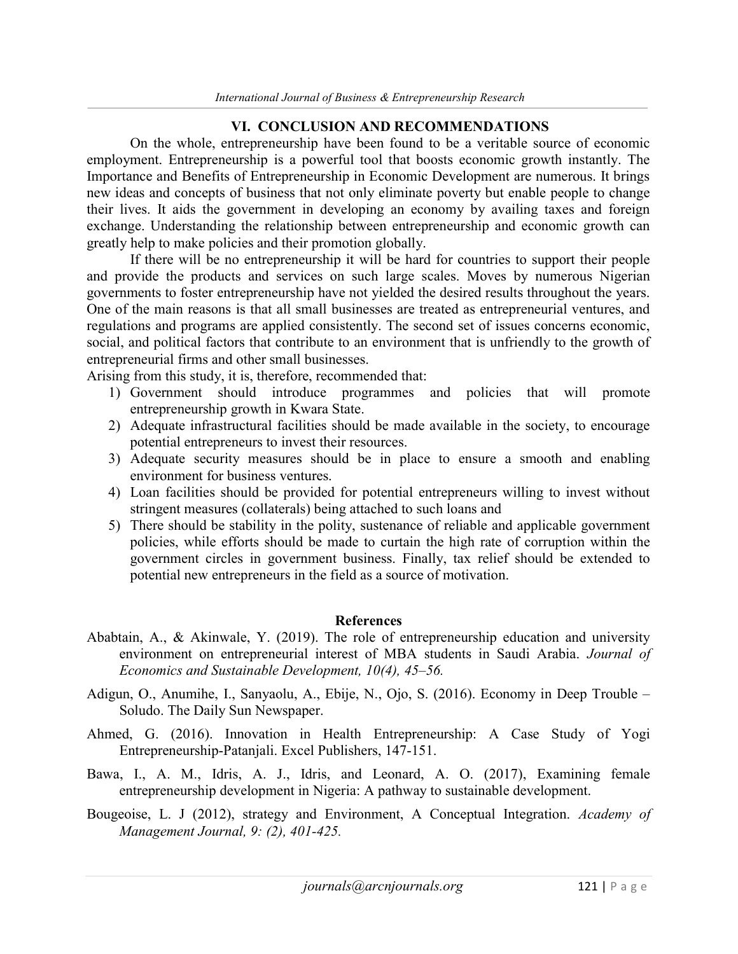#### VI. CONCLUSION AND RECOMMENDATIONS

On the whole, entrepreneurship have been found to be a veritable source of economic employment. Entrepreneurship is a powerful tool that boosts economic growth instantly. The Importance and Benefits of Entrepreneurship in Economic Development are numerous. It brings new ideas and concepts of business that not only eliminate poverty but enable people to change their lives. It aids the government in developing an economy by availing taxes and foreign exchange. Understanding the relationship between entrepreneurship and economic growth can greatly help to make policies and their promotion globally.

If there will be no entrepreneurship it will be hard for countries to support their people and provide the products and services on such large scales. Moves by numerous Nigerian governments to foster entrepreneurship have not yielded the desired results throughout the years. One of the main reasons is that all small businesses are treated as entrepreneurial ventures, and regulations and programs are applied consistently. The second set of issues concerns economic, social, and political factors that contribute to an environment that is unfriendly to the growth of entrepreneurial firms and other small businesses.

Arising from this study, it is, therefore, recommended that:

- 1) Government should introduce programmes and policies that will promote entrepreneurship growth in Kwara State.
- 2) Adequate infrastructural facilities should be made available in the society, to encourage potential entrepreneurs to invest their resources.
- 3) Adequate security measures should be in place to ensure a smooth and enabling environment for business ventures.
- 4) Loan facilities should be provided for potential entrepreneurs willing to invest without stringent measures (collaterals) being attached to such loans and
- 5) There should be stability in the polity, sustenance of reliable and applicable government policies, while efforts should be made to curtain the high rate of corruption within the government circles in government business. Finally, tax relief should be extended to potential new entrepreneurs in the field as a source of motivation.

#### References

- Ababtain, A., & Akinwale, Y. (2019). The role of entrepreneurship education and university environment on entrepreneurial interest of MBA students in Saudi Arabia. Journal of Economics and Sustainable Development, 10(4), 45–56.
- Adigun, O., Anumihe, I., Sanyaolu, A., Ebije, N., Ojo, S. (2016). Economy in Deep Trouble Soludo. The Daily Sun Newspaper.
- Ahmed, G. (2016). Innovation in Health Entrepreneurship: A Case Study of Yogi Entrepreneurship-Patanjali. Excel Publishers, 147-151.
- Bawa, I., A. M., Idris, A. J., Idris, and Leonard, A. O. (2017), Examining female entrepreneurship development in Nigeria: A pathway to sustainable development.
- Bougeoise, L. J (2012), strategy and Environment, A Conceptual Integration. Academy of Management Journal, 9: (2), 401-425.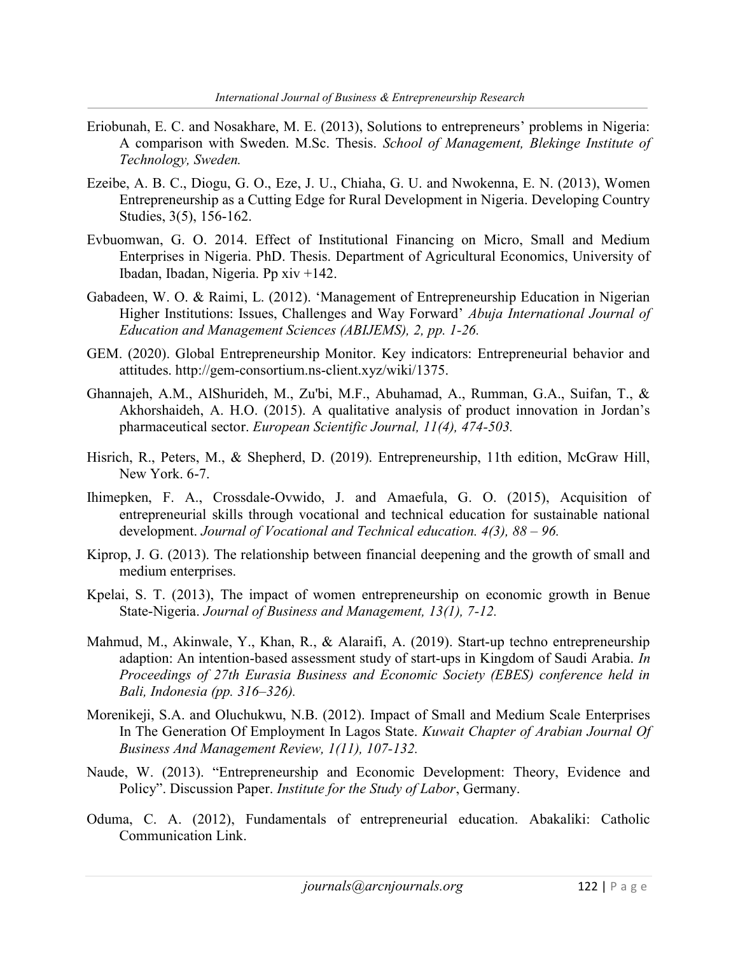- Eriobunah, E. C. and Nosakhare, M. E. (2013), Solutions to entrepreneurs' problems in Nigeria: A comparison with Sweden. M.Sc. Thesis. School of Management, Blekinge Institute of Technology, Sweden.
- Ezeibe, A. B. C., Diogu, G. O., Eze, J. U., Chiaha, G. U. and Nwokenna, E. N. (2013), Women Entrepreneurship as a Cutting Edge for Rural Development in Nigeria. Developing Country Studies, 3(5), 156-162.
- Evbuomwan, G. O. 2014. Effect of Institutional Financing on Micro, Small and Medium Enterprises in Nigeria. PhD. Thesis. Department of Agricultural Economics, University of Ibadan, Ibadan, Nigeria. Pp xiv +142.
- Gabadeen, W. O. & Raimi, L. (2012). 'Management of Entrepreneurship Education in Nigerian Higher Institutions: Issues, Challenges and Way Forward' Abuja International Journal of Education and Management Sciences (ABIJEMS), 2, pp. 1-26.
- GEM. (2020). Global Entrepreneurship Monitor. Key indicators: Entrepreneurial behavior and attitudes. http://gem-consortium.ns-client.xyz/wiki/1375.
- Ghannajeh, A.M., AlShurideh, M., Zu'bi, M.F., Abuhamad, A., Rumman, G.A., Suifan, T., & Akhorshaideh, A. H.O. (2015). A qualitative analysis of product innovation in Jordan's pharmaceutical sector. European Scientific Journal, 11(4), 474-503.
- Hisrich, R., Peters, M., & Shepherd, D. (2019). Entrepreneurship, 11th edition, McGraw Hill, New York. 6-7.
- Ihimepken, F. A., Crossdale-Ovwido, J. and Amaefula, G. O. (2015), Acquisition of entrepreneurial skills through vocational and technical education for sustainable national development. Journal of Vocational and Technical education. 4(3), 88 – 96.
- Kiprop, J. G. (2013). The relationship between financial deepening and the growth of small and medium enterprises.
- Kpelai, S. T. (2013), The impact of women entrepreneurship on economic growth in Benue State-Nigeria. Journal of Business and Management, 13(1), 7-12.
- Mahmud, M., Akinwale, Y., Khan, R., & Alaraifi, A. (2019). Start-up techno entrepreneurship adaption: An intention-based assessment study of start-ups in Kingdom of Saudi Arabia. In Proceedings of 27th Eurasia Business and Economic Society (EBES) conference held in Bali, Indonesia (pp. 316–326).
- Morenikeji, S.A. and Oluchukwu, N.B. (2012). Impact of Small and Medium Scale Enterprises In The Generation Of Employment In Lagos State. Kuwait Chapter of Arabian Journal Of Business And Management Review, 1(11), 107-132.
- Naude, W. (2013). "Entrepreneurship and Economic Development: Theory, Evidence and Policy". Discussion Paper. Institute for the Study of Labor, Germany.
- Oduma, C. A. (2012), Fundamentals of entrepreneurial education. Abakaliki: Catholic Communication Link.